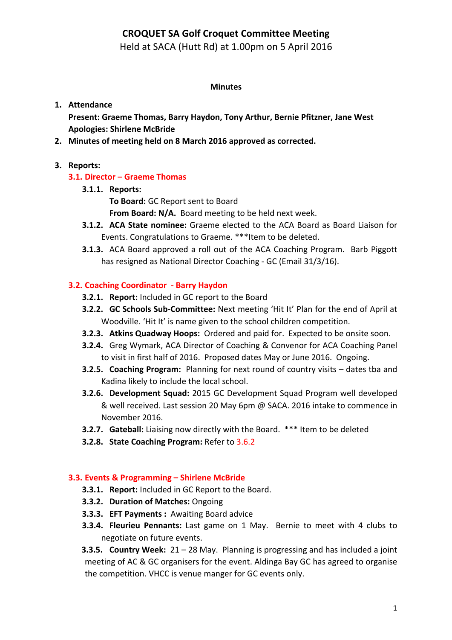# **CROQUET SA Golf Croquet Committee Meeting**

Held at SACA (Hutt Rd) at 1.00pm on 5 April 2016

### **Minutes**

## **1. Attendance**

Present: Graeme Thomas, Barry Haydon, Tony Arthur, Bernie Pfitzner, Jane West **Apologies: Shirlene McBride**

2. Minutes of meeting held on 8 March 2016 approved as corrected.

## **3. Reports:**

# **3.1. Director – Graeme Thomas**

- **3.1.1. Reports:**
	- To Board: GC Report sent to Board
	- **From Board: N/A.** Board meeting to be held next week.
- **3.1.2. ACA State nominee:** Graeme elected to the ACA Board as Board Liaison for Events. Congratulations to Graeme. \*\*\*Item to be deleted.
- **3.1.3.** ACA Board approved a roll out of the ACA Coaching Program. Barb Piggott has resigned as National Director Coaching - GC (Email 31/3/16).

# **3.2. Coaching Coordinator** - Barry Haydon

- **3.2.1. Report:** Included in GC report to the Board
- **3.2.2. GC Schools Sub-Committee:** Next meeting 'Hit It' Plan for the end of April at Woodville. 'Hit It' is name given to the school children competition.
- **3.2.3. Atkins Quadway Hoops:** Ordered and paid for. Expected to be onsite soon.
- **3.2.4.** Greg Wymark, ACA Director of Coaching & Convenor for ACA Coaching Panel to visit in first half of 2016. Proposed dates May or June 2016. Ongoing.
- **3.2.5. Coaching Program:** Planning for next round of country visits dates tba and Kadina likely to include the local school.
- **3.2.6. Development Squad:** 2015 GC Development Squad Program well developed & well received. Last session 20 May 6pm @ SACA. 2016 intake to commence in November 2016.
- **3.2.7.** Gateball: Liaising now directly with the Board. \*\*\* Item to be deleted
- **3.2.8.** State Coaching Program: Refer to 3.6.2

## **3.3. Events & Programming – Shirlene McBride**

- **3.3.1. Report:** Included in GC Report to the Board.
- **3.3.2. Duration of Matches: Ongoing**
- **3.3.3. EFT Payments: Awaiting Board advice**
- **3.3.4. Fleurieu Pennants:** Last game on 1 May. Bernie to meet with 4 clubs to negotiate on future events.

**3.3.5. Country Week:** 21 – 28 May. Planning is progressing and has included a joint meeting of AC & GC organisers for the event. Aldinga Bay GC has agreed to organise the competition. VHCC is venue manger for GC events only.